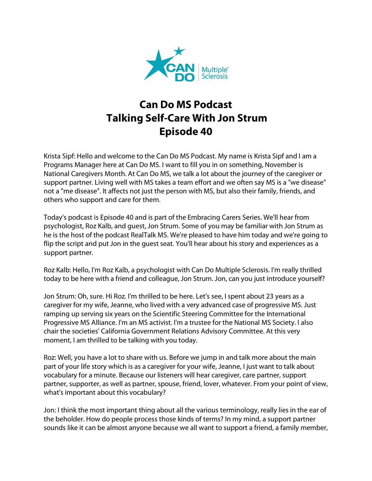

## **Can Do MS Podcast Talking Self-Care With Jon Strum Episode 40**

Krista Sipf: Hello and welcome to the Can Do MS Podcast. My name is Krista Sipf and I am a Programs Manager here at Can Do MS. I want to fill you in on something, November is National Caregivers Month. At Can Do MS, we talk a lot about the journey of the caregiver or support partner. Living well with MS takes a team effort and we often say MS is a "we disease" not a "me disease". It affects not just the person with MS, but also their family, friends, and others who support and care for them.

Today's podcast is Episode 40 and is part of the Embracing Carers Series. We'll hear from psychologist, Roz Kalb, and guest, Jon Strum. Some of you may be familiar with Jon Strum as he is the host of the podcast RealTalk MS. We're pleased to have him today and we're going to flip the script and put Jon in the guest seat. You'll hear about his story and experiences as a support partner.

Roz Kalb: Hello, I'm Roz Kalb, a psychologist with Can Do Multiple Sclerosis. I'm really thrilled today to be here with a friend and colleague, Jon Strum. Jon, can you just introduce yourself?

Jon Strum: Oh, sure. Hi Roz. I'm thrilled to be here. Let's see, I spent about 23 years as a caregiver for my wife, Jeanne, who lived with a very advanced case of progressive MS. Just ramping up serving six years on the Scientific Steering Committee for the International Progressive MS Alliance. I'm an MS activist. I'm a trustee for the National MS Society. I also chair the societies' California Government Relations Advisory Committee. At this very moment, I am thrilled to be talking with you today.

Roz: Well, you have a lot to share with us. Before we jump in and talk more about the main part of your life story which is as a caregiver for your wife, Jeanne, I just want to talk about vocabulary for a minute. Because our listeners will hear caregiver, care partner, support partner, supporter, as well as partner, spouse, friend, lover, whatever. From your point of view, what's important about this vocabulary?

Jon: I think the most important thing about all the various terminology, really lies in the ear of the beholder. How do people process those kinds of terms? In my mind, a support partner sounds like it can be almost anyone because we all want to support a friend, a family member,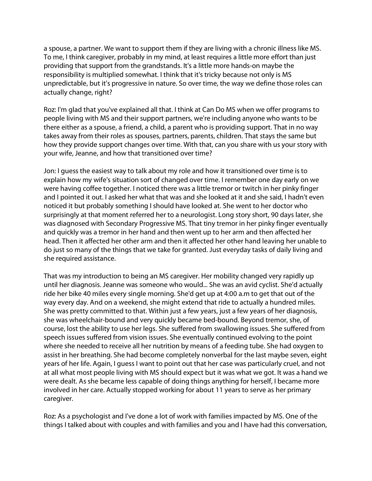a spouse, a partner. We want to support them if they are living with a chronic illness like MS. To me, I think caregiver, probably in my mind, at least requires a little more effort than just providing that support from the grandstands. It's a little more hands-on maybe the responsibility is multiplied somewhat. I think that it's tricky because not only is MS unpredictable, but it's progressive in nature. So over time, the way we define those roles can actually change, right?

Roz: I'm glad that you've explained all that. I think at Can Do MS when we offer programs to people living with MS and their support partners, we're including anyone who wants to be there either as a spouse, a friend, a child, a parent who is providing support. That in no way takes away from their roles as spouses, partners, parents, children. That stays the same but how they provide support changes over time. With that, can you share with us your story with your wife, Jeanne, and how that transitioned over time?

Jon: I guess the easiest way to talk about my role and how it transitioned over time is to explain how my wife's situation sort of changed over time. I remember one day early on we were having coffee together. I noticed there was a little tremor or twitch in her pinky finger and I pointed it out. I asked her what that was and she looked at it and she said, I hadn't even noticed it but probably something I should have looked at. She went to her doctor who surprisingly at that moment referred her to a neurologist. Long story short, 90 days later, she was diagnosed with Secondary Progressive MS. That tiny tremor in her pinky finger eventually and quickly was a tremor in her hand and then went up to her arm and then affected her head. Then it affected her other arm and then it affected her other hand leaving her unable to do just so many of the things that we take for granted. Just everyday tasks of daily living and she required assistance.

That was my introduction to being an MS caregiver. Her mobility changed very rapidly up until her diagnosis. Jeanne was someone who would... She was an avid cyclist. She'd actually ride her bike 40 miles every single morning. She'd get up at 4:00 a.m to get that out of the way every day. And on a weekend, she might extend that ride to actually a hundred miles. She was pretty committed to that. Within just a few years, just a few years of her diagnosis, she was wheelchair-bound and very quickly became bed-bound. Beyond tremor, she, of course, lost the ability to use her legs. She suffered from swallowing issues. She suffered from speech issues suffered from vision issues. She eventually continued evolving to the point where she needed to receive all her nutrition by means of a feeding tube. She had oxygen to assist in her breathing. She had become completely nonverbal for the last maybe seven, eight years of her life. Again, I guess I want to point out that her case was particularly cruel, and not at all what most people living with MS should expect but it was what we got. It was a hand we were dealt. As she became less capable of doing things anything for herself, I became more involved in her care. Actually stopped working for about 11 years to serve as her primary caregiver.

Roz: As a psychologist and I've done a lot of work with families impacted by MS. One of the things I talked about with couples and with families and you and I have had this conversation,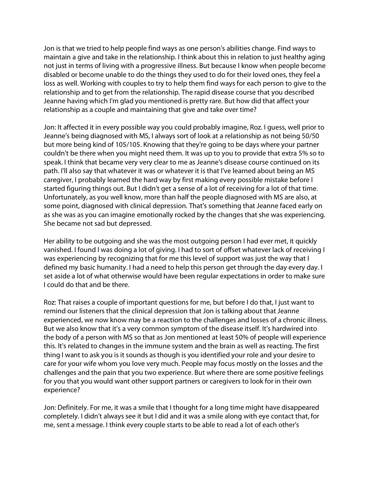Jon is that we tried to help people find ways as one person's abilities change. Find ways to maintain a give and take in the relationship. I think about this in relation to just healthy aging not just in terms of living with a progressive illness. But because I know when people become disabled or become unable to do the things they used to do for their loved ones, they feel a loss as well. Working with couples to try to help them find ways for each person to give to the relationship and to get from the relationship. The rapid disease course that you described Jeanne having which I'm glad you mentioned is pretty rare. But how did that affect your relationship as a couple and maintaining that give and take over time?

Jon: It affected it in every possible way you could probably imagine, Roz. I guess, well prior to Jeanne's being diagnosed with MS, I always sort of look at a relationship as not being 50/50 but more being kind of 105/105. Knowing that they're going to be days where your partner couldn't be there when you might need them. It was up to you to provide that extra 5% so to speak. I think that became very very clear to me as Jeanne's disease course continued on its path. I'll also say that whatever it was or whatever it is that I've learned about being an MS caregiver, I probably learned the hard way by first making every possible mistake before I started figuring things out. But I didn't get a sense of a lot of receiving for a lot of that time. Unfortunately, as you well know, more than half the people diagnosed with MS are also, at some point, diagnosed with clinical depression. That's something that Jeanne faced early on as she was as you can imagine emotionally rocked by the changes that she was experiencing. She became not sad but depressed.

Her ability to be outgoing and she was the most outgoing person I had ever met, it quickly vanished. I found I was doing a lot of giving. I had to sort of offset whatever lack of receiving I was experiencing by recognizing that for me this level of support was just the way that I defined my basic humanity. I had a need to help this person get through the day every day. I set aside a lot of what otherwise would have been regular expectations in order to make sure I could do that and be there.

Roz: That raises a couple of important questions for me, but before I do that, I just want to remind our listeners that the clinical depression that Jon is talking about that Jeanne experienced, we now know may be a reaction to the challenges and losses of a chronic illness. But we also know that it's a very common symptom of the disease itself. It's hardwired into the body of a person with MS so that as Jon mentioned at least 50% of people will experience this. It's related to changes in the immune system and the brain as well as reacting. The first thing I want to ask you is it sounds as though is you identified your role and your desire to care for your wife whom you love very much. People may focus mostly on the losses and the challenges and the pain that you two experience. But where there are some positive feelings for you that you would want other support partners or caregivers to look for in their own experience?

Jon: Definitely. For me, it was a smile that I thought for a long time might have disappeared completely. I didn't always see it but I did and it was a smile along with eye contact that, for me, sent a message. I think every couple starts to be able to read a lot of each other's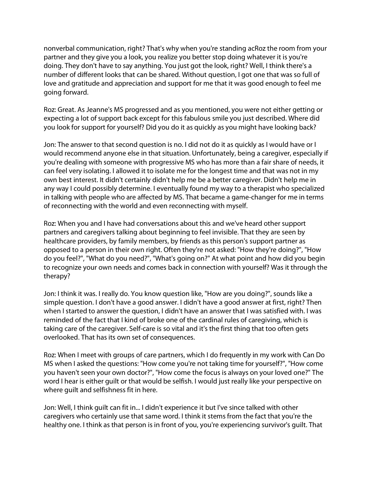nonverbal communication, right? That's why when you're standing acRoz the room from your partner and they give you a look, you realize you better stop doing whatever it is you're doing. They don't have to say anything. You just got the look, right? Well, I think there's a number of different looks that can be shared. Without question, I got one that was so full of love and gratitude and appreciation and support for me that it was good enough to feel me going forward.

Roz: Great. As Jeanne's MS progressed and as you mentioned, you were not either getting or expecting a lot of support back except for this fabulous smile you just described. Where did you look for support for yourself? Did you do it as quickly as you might have looking back?

Jon: The answer to that second question is no. I did not do it as quickly as I would have or I would recommend anyone else in that situation. Unfortunately, being a caregiver, especially if you're dealing with someone with progressive MS who has more than a fair share of needs, it can feel very isolating. I allowed it to isolate me for the longest time and that was not in my own best interest. It didn't certainly didn't help me be a better caregiver. Didn't help me in any way I could possibly determine. I eventually found my way to a therapist who specialized in talking with people who are affected by MS. That became a game-changer for me in terms of reconnecting with the world and even reconnecting with myself.

Roz: When you and I have had conversations about this and we've heard other support partners and caregivers talking about beginning to feel invisible. That they are seen by healthcare providers, by family members, by friends as this person's support partner as opposed to a person in their own right. Often they're not asked: "How they're doing?", "How do you feel?", "What do you need?", "What's going on?" At what point and how did you begin to recognize your own needs and comes back in connection with yourself? Was it through the therapy?

Jon: I think it was. I really do. You know question like, "How are you doing?", sounds like a simple question. I don't have a good answer. I didn't have a good answer at first, right? Then when I started to answer the question, I didn't have an answer that I was satisfied with. I was reminded of the fact that I kind of broke one of the cardinal rules of caregiving, which is taking care of the caregiver. Self-care is so vital and it's the first thing that too often gets overlooked. That has its own set of consequences.

Roz: When I meet with groups of care partners, which I do frequently in my work with Can Do MS when I asked the questions: "How come you're not taking time for yourself?", "How come you haven't seen your own doctor?", "How come the focus is always on your loved one?" The word I hear is either guilt or that would be selfish. I would just really like your perspective on where guilt and selfishness fit in here.

Jon: Well, I think guilt can fit in... I didn't experience it but I've since talked with other caregivers who certainly use that same word. I think it stems from the fact that you're the healthy one. I think as that person is in front of you, you're experiencing survivor's guilt. That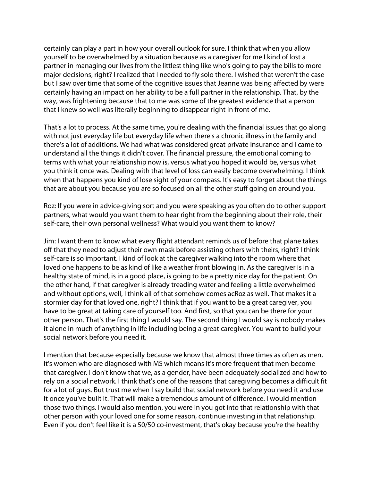certainly can play a part in how your overall outlook for sure. I think that when you allow yourself to be overwhelmed by a situation because as a caregiver for me I kind of lost a partner in managing our lives from the littlest thing like who's going to pay the bills to more major decisions, right? I realized that I needed to fly solo there. I wished that weren't the case but I saw over time that some of the cognitive issues that Jeanne was being affected by were certainly having an impact on her ability to be a full partner in the relationship. That, by the way, was frightening because that to me was some of the greatest evidence that a person that I knew so well was literally beginning to disappear right in front of me.

That's a lot to process. At the same time, you're dealing with the financial issues that go along with not just everyday life but everyday life when there's a chronic illness in the family and there's a lot of additions. We had what was considered great private insurance and I came to understand all the things it didn't cover. The financial pressure, the emotional coming to terms with what your relationship now is, versus what you hoped it would be, versus what you think it once was. Dealing with that level of loss can easily become overwhelming. I think when that happens you kind of lose sight of your compass. It's easy to forget about the things that are about you because you are so focused on all the other stuff going on around you.

Roz: If you were in advice-giving sort and you were speaking as you often do to other support partners, what would you want them to hear right from the beginning about their role, their self-care, their own personal wellness? What would you want them to know?

Jim: I want them to know what every flight attendant reminds us of before that plane takes off that they need to adjust their own mask before assisting others with theirs, right? I think self-care is so important. I kind of look at the caregiver walking into the room where that loved one happens to be as kind of like a weather front blowing in. As the caregiver is in a healthy state of mind, is in a good place, is going to be a pretty nice day for the patient. On the other hand, if that caregiver is already treading water and feeling a little overwhelmed and without options, well, I think all of that somehow comes acRoz as well. That makes it a stormier day for that loved one, right? I think that if you want to be a great caregiver, you have to be great at taking care of yourself too. And first, so that you can be there for your other person. That's the first thing I would say. The second thing I would say is nobody makes it alone in much of anything in life including being a great caregiver. You want to build your social network before you need it.

I mention that because especially because we know that almost three times as often as men, it's women who are diagnosed with MS which means it's more frequent that men become that caregiver. I don't know that we, as a gender, have been adequately socialized and how to rely on a social network. I think that's one of the reasons that caregiving becomes a difficult fit for a lot of guys. But trust me when I say build that social network before you need it and use it once you've built it. That will make a tremendous amount of difference. I would mention those two things. I would also mention, you were in you got into that relationship with that other person with your loved one for some reason, continue investing in that relationship. Even if you don't feel like it is a 50/50 co-investment, that's okay because you're the healthy